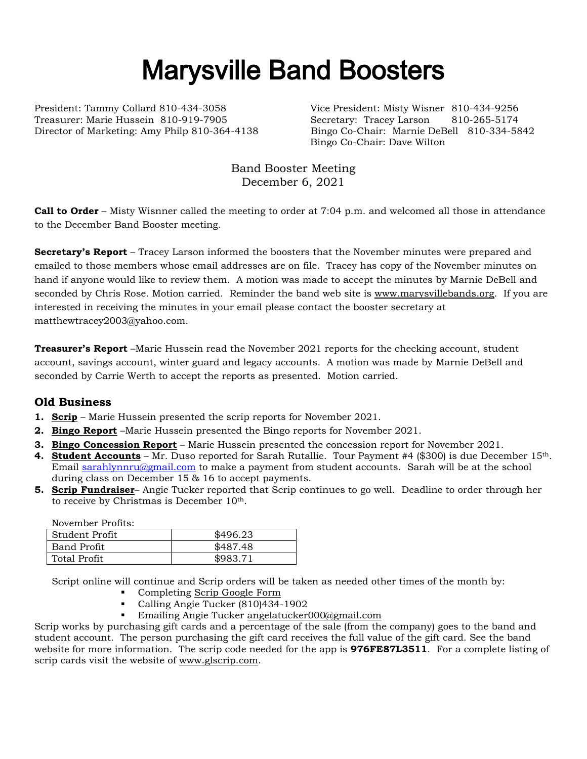# Marysville Band Boosters

President: Tammy Collard 810-434-3058 Vice President: Misty Wisner 810-434-9256 Treasurer: Marie Hussein 810-919-7905 Secretary: Tracey Larson 810-265-5174

Director of Marketing: Amy Philp 810-364-4138 Bingo Co-Chair: Marnie DeBell 810-334-5842 Bingo Co-Chair: Dave Wilton

> Band Booster Meeting December 6, 2021

**Call to Order** – Misty Wisnner called the meeting to order at 7:04 p.m. and welcomed all those in attendance to the December Band Booster meeting.

**Secretary's Report** – Tracey Larson informed the boosters that the November minutes were prepared and emailed to those members whose email addresses are on file. Tracey has copy of the November minutes on hand if anyone would like to review them. A motion was made to accept the minutes by Marnie DeBell and seconded by Chris Rose. Motion carried. Reminder the band web site is [www.marysvillebands.org.](http://www.marysvillebands.org/) If you are interested in receiving the minutes in your email please contact the booster secretary at matthewtracey2003@yahoo.com.

**Treasurer's Report** –Marie Hussein read the November 2021 reports for the checking account, student account, savings account, winter guard and legacy accounts. A motion was made by Marnie DeBell and seconded by Carrie Werth to accept the reports as presented. Motion carried.

# **Old Business**

- **1. Scrip** Marie Hussein presented the scrip reports for November 2021.
- **2. Bingo Report** –Marie Hussein presented the Bingo reports for November 2021.
- **3. Bingo Concession Report** Marie Hussein presented the concession report for November 2021.
- **4. Student Accounts** Mr. Duso reported for Sarah Rutallie. Tour Payment #4 (\$300) is due December 15th. Email [sarahlynnru@gmail.com](mailto:sarahlynnru@gmail.com) to make a payment from student accounts. Sarah will be at the school during class on December 15 & 16 to accept payments.
- **5. Scrip Fundraiser** Angie Tucker reported that Scrip continues to go well. Deadline to order through her to receive by Christmas is December 10th.

November Profits:

| - Student Profit | \$496.23 |
|------------------|----------|
| Band Profit      | \$487.48 |
| Total Profit     | \$983.71 |

Script online will continue and Scrip orders will be taken as needed other times of the month by:

- Completing [Scrip Google Form](https://forms.gle/Ryvw2wHxTdg1j3Yj6)
- Calling Angie Tucker (810)434-1902
- **Emailing Angie Tucker [angelatucker000@gmail.com](mailto:angelatucker000@gmail.com)**

Scrip works by purchasing gift cards and a percentage of the sale (from the company) goes to the band and student account. The person purchasing the gift card receives the full value of the gift card. See the band website for more information. The scrip code needed for the app is **976FE87L3511**. For a complete listing of scrip cards visit the website of [www.glscrip.com.](http://www.glscrip.com/)